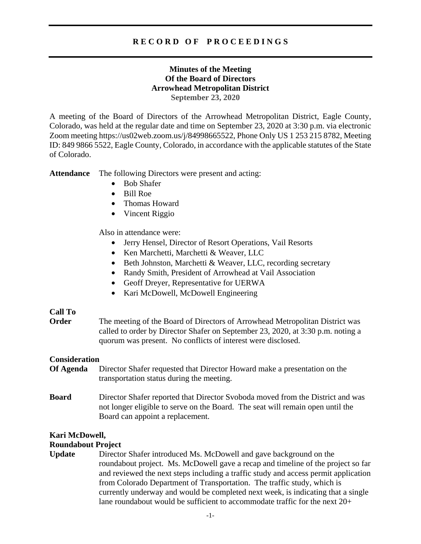# **R E C O R D O F P R O C E E D I N G S**

## **Minutes of the Meeting Of the Board of Directors Arrowhead Metropolitan District September 23, 2020**

A meeting of the Board of Directors of the Arrowhead Metropolitan District, Eagle County, Colorado, was held at the regular date and time on September 23, 2020 at 3:30 p.m. via electronic Zoom meeting https://us02web.zoom.us/j/84998665522, Phone Only US 1 253 215 8782, Meeting ID: 849 9866 5522, Eagle County, Colorado, in accordance with the applicable statutes of the State of Colorado.

**Attendance** The following Directors were present and acting:

- Bob Shafer
- Bill Roe
- Thomas Howard
- Vincent Riggio

Also in attendance were:

- Jerry Hensel, Director of Resort Operations, Vail Resorts
- Ken Marchetti, Marchetti & Weaver, LLC
- Beth Johnston, Marchetti & Weaver, LLC, recording secretary
- Randy Smith, President of Arrowhead at Vail Association
- Geoff Dreyer, Representative for UERWA
- Kari McDowell, McDowell Engineering

## **Call To**

**Order** The meeting of the Board of Directors of Arrowhead Metropolitan District was called to order by Director Shafer on September 23, 2020, at 3:30 p.m. noting a quorum was present. No conflicts of interest were disclosed.

### **Consideration**

- **Of Agenda** Director Shafer requested that Director Howard make a presentation on the transportation status during the meeting.
- **Board** Director Shafer reported that Director Svoboda moved from the District and was not longer eligible to serve on the Board. The seat will remain open until the Board can appoint a replacement.

## **Kari McDowell,**

### **Roundabout Project**

**Update** Director Shafer introduced Ms. McDowell and gave background on the roundabout project. Ms. McDowell gave a recap and timeline of the project so far and reviewed the next steps including a traffic study and access permit application from Colorado Department of Transportation. The traffic study, which is currently underway and would be completed next week, is indicating that a single lane roundabout would be sufficient to accommodate traffic for the next 20+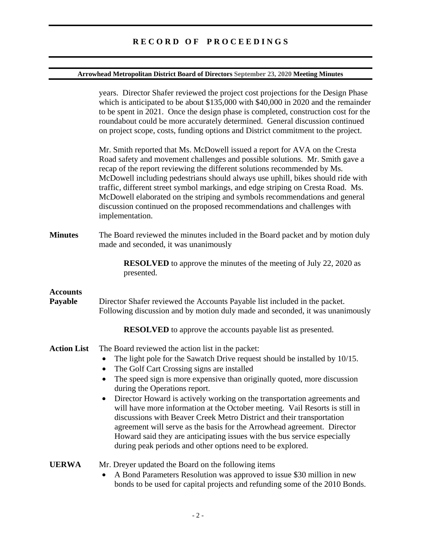# **Arrowhead Metropolitan District Board of Directors September 23, 2020 Meeting Minutes**

|                            | years. Director Shafer reviewed the project cost projections for the Design Phase<br>which is anticipated to be about \$135,000 with \$40,000 in 2020 and the remainder<br>to be spent in 2021. Once the design phase is completed, construction cost for the<br>roundabout could be more accurately determined. General discussion continued<br>on project scope, costs, funding options and District commitment to the project.                                                                                                                                                                                                                                                                                                                                                          |
|----------------------------|--------------------------------------------------------------------------------------------------------------------------------------------------------------------------------------------------------------------------------------------------------------------------------------------------------------------------------------------------------------------------------------------------------------------------------------------------------------------------------------------------------------------------------------------------------------------------------------------------------------------------------------------------------------------------------------------------------------------------------------------------------------------------------------------|
|                            | Mr. Smith reported that Ms. McDowell issued a report for AVA on the Cresta<br>Road safety and movement challenges and possible solutions. Mr. Smith gave a<br>recap of the report reviewing the different solutions recommended by Ms.<br>McDowell including pedestrians should always use uphill, bikes should ride with<br>traffic, different street symbol markings, and edge striping on Cresta Road. Ms.<br>McDowell elaborated on the striping and symbols recommendations and general<br>discussion continued on the proposed recommendations and challenges with<br>implementation.                                                                                                                                                                                                |
| <b>Minutes</b>             | The Board reviewed the minutes included in the Board packet and by motion duly<br>made and seconded, it was unanimously                                                                                                                                                                                                                                                                                                                                                                                                                                                                                                                                                                                                                                                                    |
|                            | <b>RESOLVED</b> to approve the minutes of the meeting of July 22, 2020 as<br>presented.                                                                                                                                                                                                                                                                                                                                                                                                                                                                                                                                                                                                                                                                                                    |
| <b>Accounts</b><br>Payable | Director Shafer reviewed the Accounts Payable list included in the packet.<br>Following discussion and by motion duly made and seconded, it was unanimously<br><b>RESOLVED</b> to approve the accounts payable list as presented.                                                                                                                                                                                                                                                                                                                                                                                                                                                                                                                                                          |
| <b>Action List</b>         | The Board reviewed the action list in the packet:<br>The light pole for the Sawatch Drive request should be installed by 10/15.<br>$\bullet$<br>The Golf Cart Crossing signs are installed<br>$\bullet$<br>The speed sign is more expensive than originally quoted, more discussion<br>$\bullet$<br>during the Operations report.<br>Director Howard is actively working on the transportation agreements and<br>will have more information at the October meeting. Vail Resorts is still in<br>discussions with Beaver Creek Metro District and their transportation<br>agreement will serve as the basis for the Arrowhead agreement. Director<br>Howard said they are anticipating issues with the bus service especially<br>during peak periods and other options need to be explored. |
| <b>UERWA</b>               | Mr. Dreyer updated the Board on the following items<br>A Bond Parameters Resolution was approved to issue \$30 million in new<br>$\bullet$<br>bonds to be used for capital projects and refunding some of the 2010 Bonds.                                                                                                                                                                                                                                                                                                                                                                                                                                                                                                                                                                  |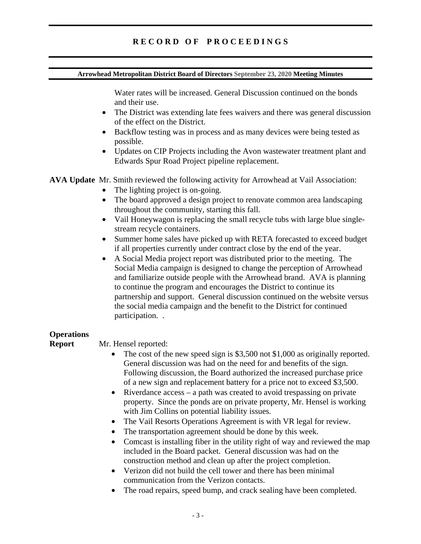## **Arrowhead Metropolitan District Board of Directors September 23, 2020 Meeting Minutes**

Water rates will be increased. General Discussion continued on the bonds and their use.

- The District was extending late fees waivers and there was general discussion of the effect on the District.
- Backflow testing was in process and as many devices were being tested as possible.
- Updates on CIP Projects including the Avon wastewater treatment plant and Edwards Spur Road Project pipeline replacement.

**AVA Update** Mr. Smith reviewed the following activity for Arrowhead at Vail Association:

- The lighting project is on-going.
- The board approved a design project to renovate common area landscaping throughout the community, starting this fall.
- Vail Honeywagon is replacing the small recycle tubs with large blue singlestream recycle containers.
- Summer home sales have picked up with RETA forecasted to exceed budget if all properties currently under contract close by the end of the year.
- A Social Media project report was distributed prior to the meeting. The Social Media campaign is designed to change the perception of Arrowhead and familiarize outside people with the Arrowhead brand. AVA is planning to continue the program and encourages the District to continue its partnership and support. General discussion continued on the website versus the social media campaign and the benefit to the District for continued participation. .

# **Operations**

## **Report** Mr. Hensel reported:

- The cost of the new speed sign is \$3,500 not \$1,000 as originally reported. General discussion was had on the need for and benefits of the sign. Following discussion, the Board authorized the increased purchase price of a new sign and replacement battery for a price not to exceed \$3,500.
- Riverdance  $access a$  path was created to avoid trespassing on private property. Since the ponds are on private property, Mr. Hensel is working with Jim Collins on potential liability issues.
- The Vail Resorts Operations Agreement is with VR legal for review.
- The transportation agreement should be done by this week.
- Comcast is installing fiber in the utility right of way and reviewed the map included in the Board packet. General discussion was had on the construction method and clean up after the project completion.
- Verizon did not build the cell tower and there has been minimal communication from the Verizon contacts.
- The road repairs, speed bump, and crack sealing have been completed.